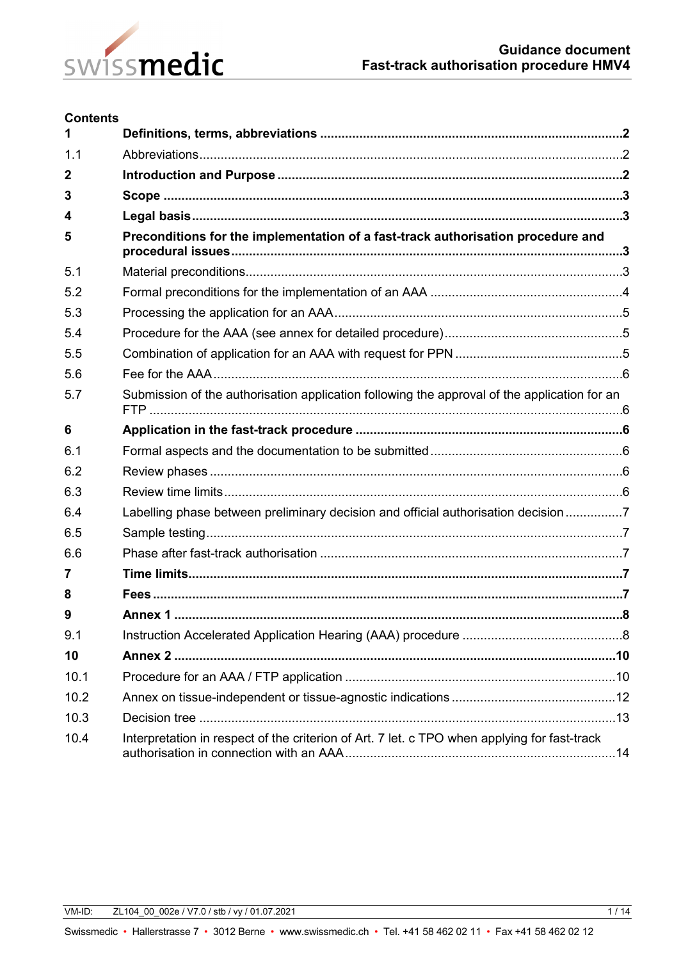

#### **Contents**

| 1            |                                                                                              |  |  |
|--------------|----------------------------------------------------------------------------------------------|--|--|
| 1.1          |                                                                                              |  |  |
| $\mathbf{2}$ |                                                                                              |  |  |
| 3            |                                                                                              |  |  |
| 4            |                                                                                              |  |  |
| 5            | Preconditions for the implementation of a fast-track authorisation procedure and             |  |  |
| 5.1          |                                                                                              |  |  |
| 5.2          |                                                                                              |  |  |
| 5.3          |                                                                                              |  |  |
| 5.4          |                                                                                              |  |  |
| 5.5          |                                                                                              |  |  |
| 5.6          |                                                                                              |  |  |
| 5.7          | Submission of the authorisation application following the approval of the application for an |  |  |
| 6            |                                                                                              |  |  |
| 6.1          |                                                                                              |  |  |
| 6.2          |                                                                                              |  |  |
| 6.3          |                                                                                              |  |  |
| 6.4          | Labelling phase between preliminary decision and official authorisation decision 7           |  |  |
| 6.5          |                                                                                              |  |  |
| 6.6          |                                                                                              |  |  |
| 7            |                                                                                              |  |  |
| 8            |                                                                                              |  |  |
| 9            |                                                                                              |  |  |
| 9.1          |                                                                                              |  |  |
| 10           |                                                                                              |  |  |
| 10.1         |                                                                                              |  |  |
| 10.2         |                                                                                              |  |  |
| 10.3         |                                                                                              |  |  |
| 10.4         | Interpretation in respect of the criterion of Art. 7 let. c TPO when applying for fast-track |  |  |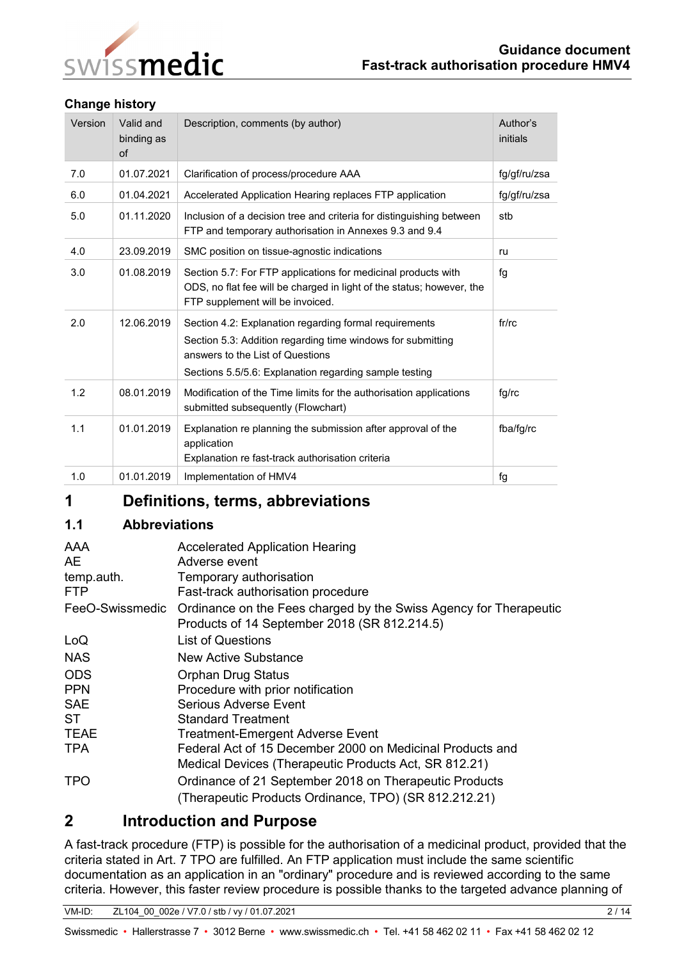

### **Change history**

| Version | Valid and<br>binding as<br>of | Description, comments (by author)                                                                                                                                                                                   | Author's<br>initials |
|---------|-------------------------------|---------------------------------------------------------------------------------------------------------------------------------------------------------------------------------------------------------------------|----------------------|
| 7.0     | 01.07.2021                    | Clarification of process/procedure AAA                                                                                                                                                                              | fg/gf/ru/zsa         |
| 6.0     | 01.04.2021                    | Accelerated Application Hearing replaces FTP application                                                                                                                                                            | fg/gf/ru/zsa         |
| 5.0     | 01.11.2020                    | Inclusion of a decision tree and criteria for distinguishing between<br>FTP and temporary authorisation in Annexes 9.3 and 9.4                                                                                      | stb                  |
| 4.0     | 23.09.2019                    | SMC position on tissue-agnostic indications                                                                                                                                                                         | ru                   |
| 3.0     | 01.08.2019                    | Section 5.7: For FTP applications for medicinal products with<br>ODS, no flat fee will be charged in light of the status; however, the<br>FTP supplement will be invoiced.                                          | fg                   |
| 2.0     | 12.06.2019                    | Section 4.2: Explanation regarding formal requirements<br>Section 5.3: Addition regarding time windows for submitting<br>answers to the List of Questions<br>Sections 5.5/5.6: Explanation regarding sample testing | fr/rc                |
| 1.2     | 08.01.2019                    | Modification of the Time limits for the authorisation applications<br>submitted subsequently (Flowchart)                                                                                                            | fg/rc                |
| 1.1     | 01.01.2019                    | Explanation re planning the submission after approval of the<br>application<br>Explanation re fast-track authorisation criteria                                                                                     | fba/fq/rc            |
| 1.0     | 01.01.2019                    | Implementation of HMV4                                                                                                                                                                                              | fg                   |

# <span id="page-1-0"></span>**1 Definitions, terms, abbreviations**

### <span id="page-1-1"></span>**1.1 Abbreviations**

| AAA<br>AE.<br>temp.auth.<br><b>FTP</b> | <b>Accelerated Application Hearing</b><br>Adverse event<br>Temporary authorisation<br>Fast-track authorisation procedure |
|----------------------------------------|--------------------------------------------------------------------------------------------------------------------------|
| FeeO-Swissmedic                        | Ordinance on the Fees charged by the Swiss Agency for Therapeutic<br>Products of 14 September 2018 (SR 812.214.5)        |
| LoQ                                    | <b>List of Questions</b>                                                                                                 |
| <b>NAS</b>                             | New Active Substance                                                                                                     |
| <b>ODS</b>                             | <b>Orphan Drug Status</b>                                                                                                |
| <b>PPN</b>                             | Procedure with prior notification                                                                                        |
| <b>SAE</b>                             | Serious Adverse Event                                                                                                    |
| ST.                                    | <b>Standard Treatment</b>                                                                                                |
| <b>TEAE</b>                            | <b>Treatment-Emergent Adverse Event</b>                                                                                  |
| <b>TPA</b>                             | Federal Act of 15 December 2000 on Medicinal Products and                                                                |
|                                        | Medical Devices (Therapeutic Products Act, SR 812.21)                                                                    |
| <b>TPO</b>                             | Ordinance of 21 September 2018 on Therapeutic Products                                                                   |
|                                        | (Therapeutic Products Ordinance, TPO) (SR 812.212.21)                                                                    |

# <span id="page-1-2"></span>**2 Introduction and Purpose**

A fast-track procedure (FTP) is possible for the authorisation of a medicinal product, provided that the criteria stated in Art. 7 TPO are fulfilled. An FTP application must include the same scientific documentation as an application in an "ordinary" procedure and is reviewed according to the same criteria. However, this faster review procedure is possible thanks to the targeted advance planning of

VM-ID: ZL104\_00\_002e / V7.0 / stb / vy / 01.07.2021 2 / 14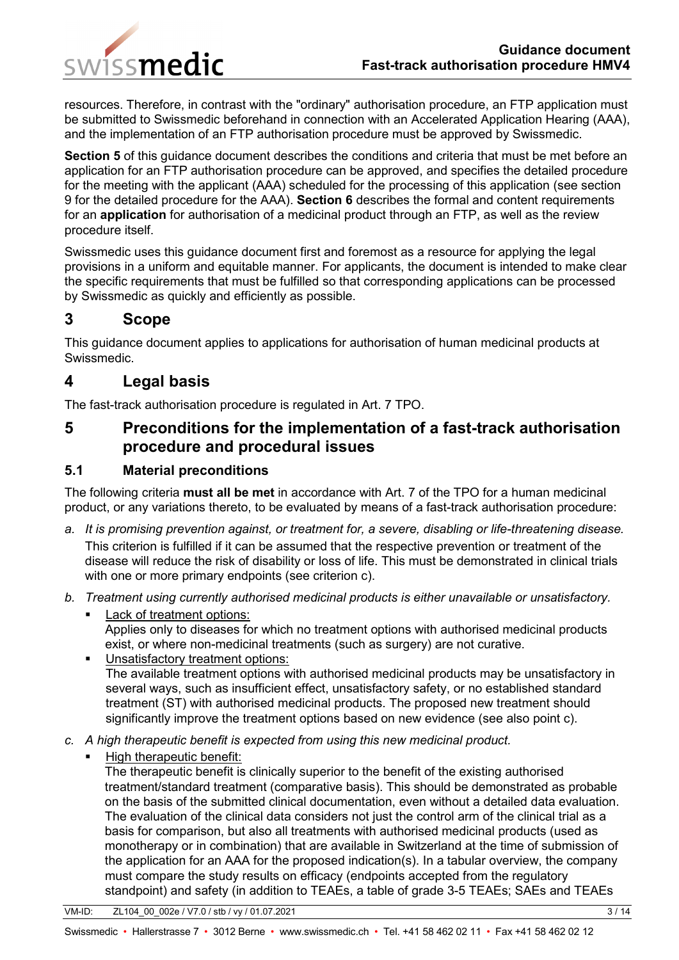

resources. Therefore, in contrast with the "ordinary" authorisation procedure, an FTP application must be submitted to Swissmedic beforehand in connection with an Accelerated Application Hearing (AAA), and the implementation of an FTP authorisation procedure must be approved by Swissmedic.

**Section 5** of this guidance document describes the conditions and criteria that must be met before an application for an FTP authorisation procedure can be approved, and specifies the detailed procedure for the meeting with the applicant (AAA) scheduled for the processing of this application (see section 9 for the detailed procedure for the AAA). **Section 6** describes the formal and content requirements for an **application** for authorisation of a medicinal product through an FTP, as well as the review procedure itself.

Swissmedic uses this guidance document first and foremost as a resource for applying the legal provisions in a uniform and equitable manner. For applicants, the document is intended to make clear the specific requirements that must be fulfilled so that corresponding applications can be processed by Swissmedic as quickly and efficiently as possible.

# <span id="page-2-0"></span>**3 Scope**

This guidance document applies to applications for authorisation of human medicinal products at Swissmedic.

# <span id="page-2-1"></span>**4 Legal basis**

The fast-track authorisation procedure is regulated in Art. 7 TPO.

<span id="page-2-2"></span>**5 Preconditions for the implementation of a fast-track authorisation procedure and procedural issues**

## <span id="page-2-3"></span>**5.1 Material preconditions**

The following criteria **must all be met** in accordance with Art. 7 of the TPO for a human medicinal product, or any variations thereto, to be evaluated by means of a fast-track authorisation procedure:

- *a. It is promising prevention against, or treatment for, a severe, disabling or life-threatening disease.* This criterion is fulfilled if it can be assumed that the respective prevention or treatment of the disease will reduce the risk of disability or loss of life. This must be demonstrated in clinical trials with one or more primary endpoints (see criterion c).
- *b. Treatment using currently authorised medicinal products is either unavailable or unsatisfactory.*
	- Lack of treatment options: Applies only to diseases for which no treatment options with authorised medicinal products exist, or where non-medicinal treatments (such as surgery) are not curative.
	- **Unsatisfactory treatment options:** The available treatment options with authorised medicinal products may be unsatisfactory in several ways, such as insufficient effect, unsatisfactory safety, or no established standard treatment (ST) with authorised medicinal products. The proposed new treatment should significantly improve the treatment options based on new evidence (see also point c).
- *c. A high therapeutic benefit is expected from using this new medicinal product.*
	- High therapeutic benefit:

The therapeutic benefit is clinically superior to the benefit of the existing authorised treatment/standard treatment (comparative basis). This should be demonstrated as probable on the basis of the submitted clinical documentation, even without a detailed data evaluation. The evaluation of the clinical data considers not just the control arm of the clinical trial as a basis for comparison, but also all treatments with authorised medicinal products (used as monotherapy or in combination) that are available in Switzerland at the time of submission of the application for an AAA for the proposed indication(s). In a tabular overview, the company must compare the study results on efficacy (endpoints accepted from the regulatory standpoint) and safety (in addition to TEAEs, a table of grade 3-5 TEAEs; SAEs and TEAEs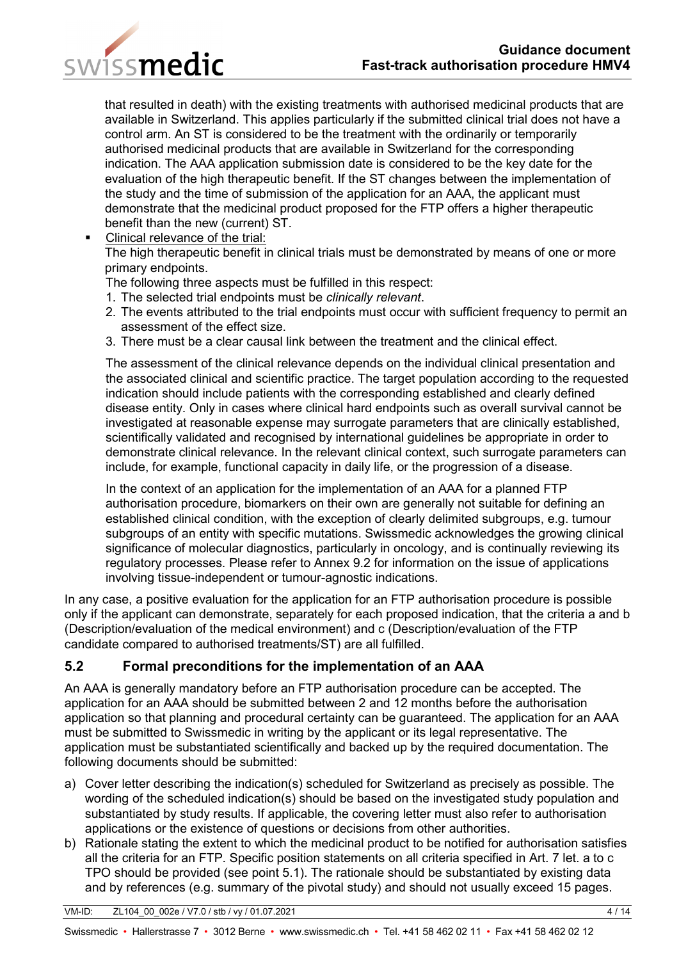

that resulted in death) with the existing treatments with authorised medicinal products that are available in Switzerland. This applies particularly if the submitted clinical trial does not have a control arm. An ST is considered to be the treatment with the ordinarily or temporarily authorised medicinal products that are available in Switzerland for the corresponding indication. The AAA application submission date is considered to be the key date for the evaluation of the high therapeutic benefit. If the ST changes between the implementation of the study and the time of submission of the application for an AAA, the applicant must demonstrate that the medicinal product proposed for the FTP offers a higher therapeutic benefit than the new (current) ST.

**Clinical relevance of the trial:** 

The high therapeutic benefit in clinical trials must be demonstrated by means of one or more primary endpoints.

The following three aspects must be fulfilled in this respect:

- 1. The selected trial endpoints must be *clinically relevant*.
- 2. The events attributed to the trial endpoints must occur with sufficient frequency to permit an assessment of the effect size.
- 3. There must be a clear causal link between the treatment and the clinical effect.

The assessment of the clinical relevance depends on the individual clinical presentation and the associated clinical and scientific practice. The target population according to the requested indication should include patients with the corresponding established and clearly defined disease entity. Only in cases where clinical hard endpoints such as overall survival cannot be investigated at reasonable expense may surrogate parameters that are clinically established, scientifically validated and recognised by international guidelines be appropriate in order to demonstrate clinical relevance. In the relevant clinical context, such surrogate parameters can include, for example, functional capacity in daily life, or the progression of a disease.

In the context of an application for the implementation of an AAA for a planned FTP authorisation procedure, biomarkers on their own are generally not suitable for defining an established clinical condition, with the exception of clearly delimited subgroups, e.g. tumour subgroups of an entity with specific mutations. Swissmedic acknowledges the growing clinical significance of molecular diagnostics, particularly in oncology, and is continually reviewing its regulatory processes. Please refer to Annex 9.2 for information on the issue of applications involving tissue-independent or tumour-agnostic indications.

In any case, a positive evaluation for the application for an FTP authorisation procedure is possible only if the applicant can demonstrate, separately for each proposed indication, that the criteria a and b (Description/evaluation of the medical environment) and c (Description/evaluation of the FTP candidate compared to authorised treatments/ST) are all fulfilled.

## <span id="page-3-0"></span>**5.2 Formal preconditions for the implementation of an AAA**

An AAA is generally mandatory before an FTP authorisation procedure can be accepted. The application for an AAA should be submitted between 2 and 12 months before the authorisation application so that planning and procedural certainty can be guaranteed. The application for an AAA must be submitted to Swissmedic in writing by the applicant or its legal representative. The application must be substantiated scientifically and backed up by the required documentation. The following documents should be submitted:

- a) Cover letter describing the indication(s) scheduled for Switzerland as precisely as possible. The wording of the scheduled indication(s) should be based on the investigated study population and substantiated by study results. If applicable, the covering letter must also refer to authorisation applications or the existence of questions or decisions from other authorities.
- b) Rationale stating the extent to which the medicinal product to be notified for authorisation satisfies all the criteria for an FTP. Specific position statements on all criteria specified in Art. 7 let. a to c TPO should be provided (see point 5.1). The rationale should be substantiated by existing data and by references (e.g. summary of the pivotal study) and should not usually exceed 15 pages.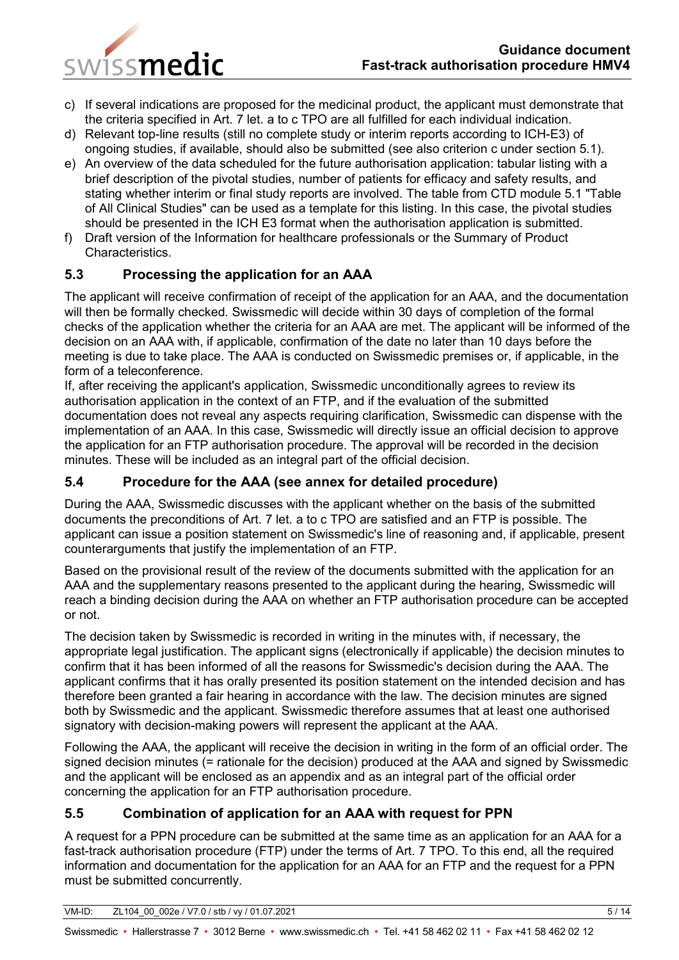

- c) If several indications are proposed for the medicinal product, the applicant must demonstrate that the criteria specified in Art. 7 let. a to c TPO are all fulfilled for each individual indication.
- d) Relevant top-line results (still no complete study or interim reports according to ICH-E3) of ongoing studies, if available, should also be submitted (see also criterion c under section 5.1).
- e) An overview of the data scheduled for the future authorisation application: tabular listing with a brief description of the pivotal studies, number of patients for efficacy and safety results, and stating whether interim or final study reports are involved. The table from CTD module 5.1 "Table of All Clinical Studies" can be used as a template for this listing. In this case, the pivotal studies should be presented in the ICH E3 format when the authorisation application is submitted.
- f) Draft version of the Information for healthcare professionals or the Summary of Product Characteristics.

# <span id="page-4-0"></span>**5.3 Processing the application for an AAA**

The applicant will receive confirmation of receipt of the application for an AAA, and the documentation will then be formally checked. Swissmedic will decide within 30 days of completion of the formal checks of the application whether the criteria for an AAA are met. The applicant will be informed of the decision on an AAA with, if applicable, confirmation of the date no later than 10 days before the meeting is due to take place. The AAA is conducted on Swissmedic premises or, if applicable, in the form of a teleconference.

If, after receiving the applicant's application, Swissmedic unconditionally agrees to review its authorisation application in the context of an FTP, and if the evaluation of the submitted documentation does not reveal any aspects requiring clarification, Swissmedic can dispense with the implementation of an AAA. In this case, Swissmedic will directly issue an official decision to approve the application for an FTP authorisation procedure. The approval will be recorded in the decision minutes. These will be included as an integral part of the official decision.

## <span id="page-4-1"></span>**5.4 Procedure for the AAA (see annex for detailed procedure)**

During the AAA, Swissmedic discusses with the applicant whether on the basis of the submitted documents the preconditions of Art. 7 let. a to c TPO are satisfied and an FTP is possible. The applicant can issue a position statement on Swissmedic's line of reasoning and, if applicable, present counterarguments that justify the implementation of an FTP.

Based on the provisional result of the review of the documents submitted with the application for an AAA and the supplementary reasons presented to the applicant during the hearing, Swissmedic will reach a binding decision during the AAA on whether an FTP authorisation procedure can be accepted or not.

The decision taken by Swissmedic is recorded in writing in the minutes with, if necessary, the appropriate legal justification. The applicant signs (electronically if applicable) the decision minutes to confirm that it has been informed of all the reasons for Swissmedic's decision during the AAA. The applicant confirms that it has orally presented its position statement on the intended decision and has therefore been granted a fair hearing in accordance with the law. The decision minutes are signed both by Swissmedic and the applicant. Swissmedic therefore assumes that at least one authorised signatory with decision-making powers will represent the applicant at the AAA.

Following the AAA, the applicant will receive the decision in writing in the form of an official order. The signed decision minutes (= rationale for the decision) produced at the AAA and signed by Swissmedic and the applicant will be enclosed as an appendix and as an integral part of the official order concerning the application for an FTP authorisation procedure.

# <span id="page-4-2"></span>**5.5 Combination of application for an AAA with request for PPN**

A request for a PPN procedure can be submitted at the same time as an application for an AAA for a fast-track authorisation procedure (FTP) under the terms of Art. 7 TPO. To this end, all the required information and documentation for the application for an AAA for an FTP and the request for a PPN must be submitted concurrently.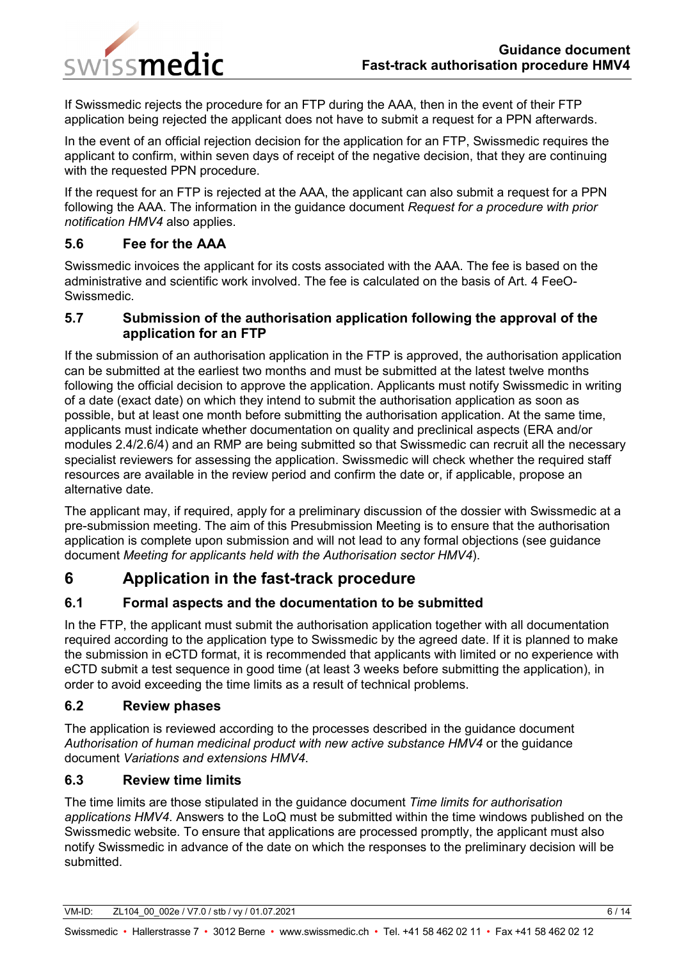

If Swissmedic rejects the procedure for an FTP during the AAA, then in the event of their FTP application being rejected the applicant does not have to submit a request for a PPN afterwards.

In the event of an official rejection decision for the application for an FTP, Swissmedic requires the applicant to confirm, within seven days of receipt of the negative decision, that they are continuing with the requested PPN procedure.

If the request for an FTP is rejected at the AAA, the applicant can also submit a request for a PPN following the AAA. The information in the guidance document *Request for a procedure with prior notification HMV4* also applies.

## <span id="page-5-0"></span>**5.6 Fee for the AAA**

Swissmedic invoices the applicant for its costs associated with the AAA. The fee is based on the administrative and scientific work involved. The fee is calculated on the basis of Art. 4 FeeO-Swissmedic.

### <span id="page-5-1"></span>**5.7 Submission of the authorisation application following the approval of the application for an FTP**

If the submission of an authorisation application in the FTP is approved, the authorisation application can be submitted at the earliest two months and must be submitted at the latest twelve months following the official decision to approve the application. Applicants must notify Swissmedic in writing of a date (exact date) on which they intend to submit the authorisation application as soon as possible, but at least one month before submitting the authorisation application. At the same time, applicants must indicate whether documentation on quality and preclinical aspects (ERA and/or modules 2.4/2.6/4) and an RMP are being submitted so that Swissmedic can recruit all the necessary specialist reviewers for assessing the application. Swissmedic will check whether the required staff resources are available in the review period and confirm the date or, if applicable, propose an alternative date.

The applicant may, if required, apply for a preliminary discussion of the dossier with Swissmedic at a pre-submission meeting. The aim of this Presubmission Meeting is to ensure that the authorisation application is complete upon submission and will not lead to any formal objections (see guidance document *Meeting for applicants held with the Authorisation sector HMV4*).

# <span id="page-5-2"></span>**6 Application in the fast-track procedure**

## <span id="page-5-3"></span>**6.1 Formal aspects and the documentation to be submitted**

In the FTP, the applicant must submit the authorisation application together with all documentation required according to the application type to Swissmedic by the agreed date. If it is planned to make the submission in eCTD format, it is recommended that applicants with limited or no experience with eCTD submit a test sequence in good time (at least 3 weeks before submitting the application), in order to avoid exceeding the time limits as a result of technical problems.

### <span id="page-5-4"></span>**6.2 Review phases**

The application is reviewed according to the processes described in the guidance document *Authorisation of human medicinal product with new active substance HMV4* or the guidance document *Variations and extensions HMV4*.

## <span id="page-5-5"></span>**6.3 Review time limits**

The time limits are those stipulated in the guidance document *Time limits for authorisation applications HMV4*. Answers to the LoQ must be submitted within the time windows published on the Swissmedic website. To ensure that applications are processed promptly, the applicant must also notify Swissmedic in advance of the date on which the responses to the preliminary decision will be submitted.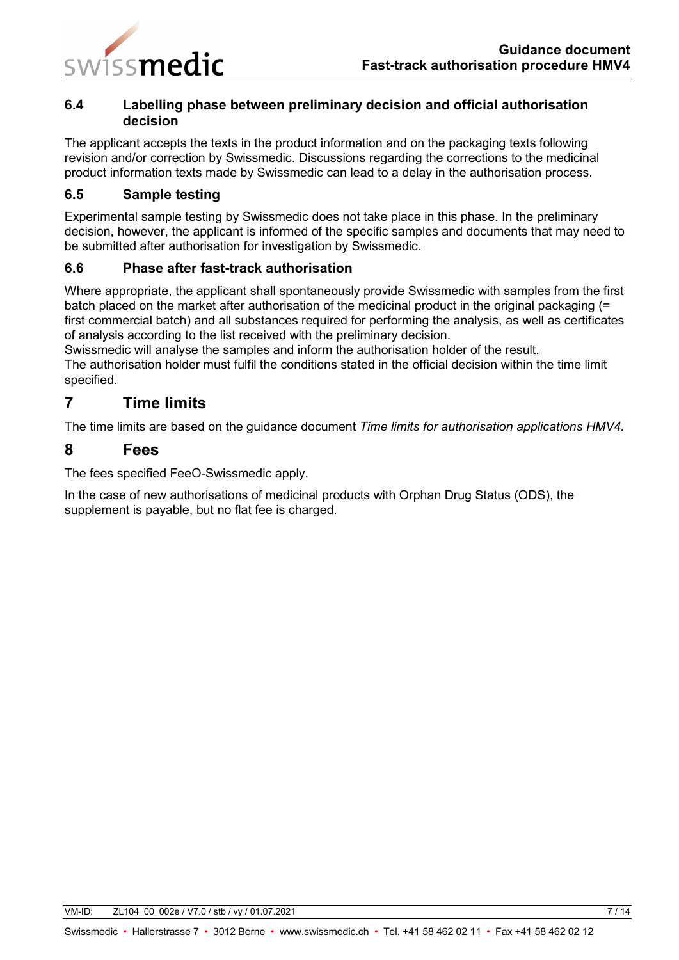

### <span id="page-6-0"></span>**6.4 Labelling phase between preliminary decision and official authorisation decision**

The applicant accepts the texts in the product information and on the packaging texts following revision and/or correction by Swissmedic. Discussions regarding the corrections to the medicinal product information texts made by Swissmedic can lead to a delay in the authorisation process.

### <span id="page-6-1"></span>**6.5 Sample testing**

Experimental sample testing by Swissmedic does not take place in this phase. In the preliminary decision, however, the applicant is informed of the specific samples and documents that may need to be submitted after authorisation for investigation by Swissmedic.

### <span id="page-6-2"></span>**6.6 Phase after fast-track authorisation**

Where appropriate, the applicant shall spontaneously provide Swissmedic with samples from the first batch placed on the market after authorisation of the medicinal product in the original packaging (= first commercial batch) and all substances required for performing the analysis, as well as certificates of analysis according to the list received with the preliminary decision.

Swissmedic will analyse the samples and inform the authorisation holder of the result. The authorisation holder must fulfil the conditions stated in the official decision within the time limit

# <span id="page-6-3"></span>**7 Time limits**

The time limits are based on the guidance document *Time limits for authorisation applications HMV4.*

## <span id="page-6-4"></span>**8 Fees**

specified.

The fees specified FeeO-Swissmedic apply.

In the case of new authorisations of medicinal products with Orphan Drug Status (ODS), the supplement is payable, but no flat fee is charged.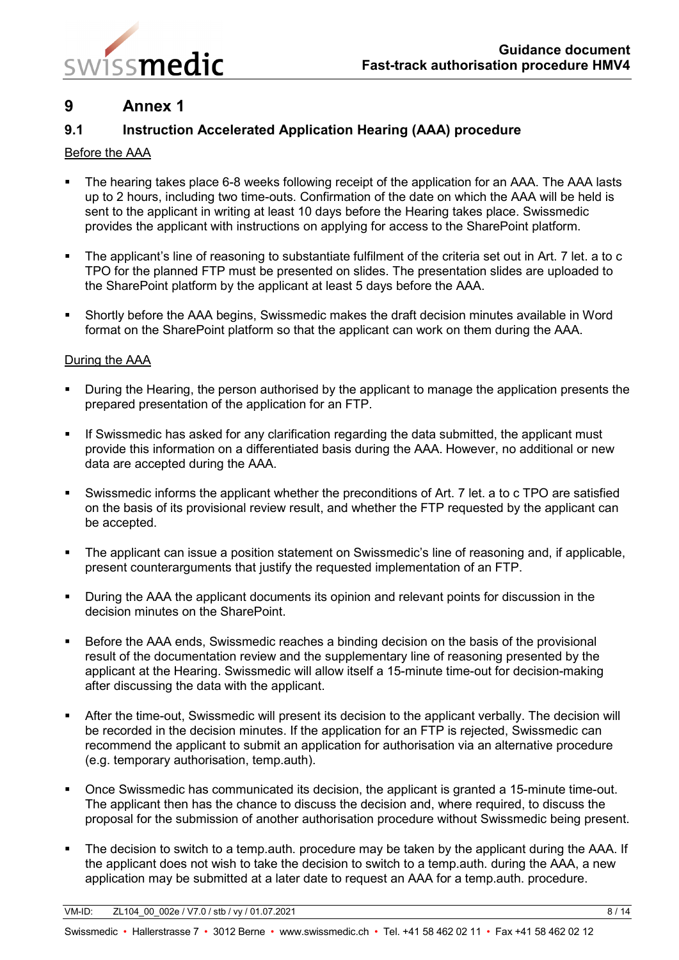

# <span id="page-7-0"></span>**9 Annex 1**

## <span id="page-7-1"></span>**9.1 Instruction Accelerated Application Hearing (AAA) procedure**

#### Before the AAA

- The hearing takes place 6-8 weeks following receipt of the application for an AAA. The AAA lasts up to 2 hours, including two time-outs. Confirmation of the date on which the AAA will be held is sent to the applicant in writing at least 10 days before the Hearing takes place. Swissmedic provides the applicant with instructions on applying for access to the SharePoint platform.
- The applicant's line of reasoning to substantiate fulfilment of the criteria set out in Art. 7 let. a to c TPO for the planned FTP must be presented on slides. The presentation slides are uploaded to the SharePoint platform by the applicant at least 5 days before the AAA.
- Shortly before the AAA begins, Swissmedic makes the draft decision minutes available in Word format on the SharePoint platform so that the applicant can work on them during the AAA.

#### During the AAA

- **During the Hearing, the person authorised by the applicant to manage the application presents the** prepared presentation of the application for an FTP.
- If Swissmedic has asked for any clarification regarding the data submitted, the applicant must provide this information on a differentiated basis during the AAA. However, no additional or new data are accepted during the AAA.
- Swissmedic informs the applicant whether the preconditions of Art. 7 let. a to c TPO are satisfied on the basis of its provisional review result, and whether the FTP requested by the applicant can be accepted.
- The applicant can issue a position statement on Swissmedic's line of reasoning and, if applicable, present counterarguments that justify the requested implementation of an FTP.
- **During the AAA the applicant documents its opinion and relevant points for discussion in the** decision minutes on the SharePoint.
- **Before the AAA ends, Swissmedic reaches a binding decision on the basis of the provisional** result of the documentation review and the supplementary line of reasoning presented by the applicant at the Hearing. Swissmedic will allow itself a 15-minute time-out for decision-making after discussing the data with the applicant.
- After the time-out, Swissmedic will present its decision to the applicant verbally. The decision will be recorded in the decision minutes. If the application for an FTP is rejected, Swissmedic can recommend the applicant to submit an application for authorisation via an alternative procedure (e.g. temporary authorisation, temp.auth).
- Once Swissmedic has communicated its decision, the applicant is granted a 15-minute time-out. The applicant then has the chance to discuss the decision and, where required, to discuss the proposal for the submission of another authorisation procedure without Swissmedic being present.
- The decision to switch to a temp.auth. procedure may be taken by the applicant during the AAA. If the applicant does not wish to take the decision to switch to a temp.auth. during the AAA, a new application may be submitted at a later date to request an AAA for a temp.auth. procedure.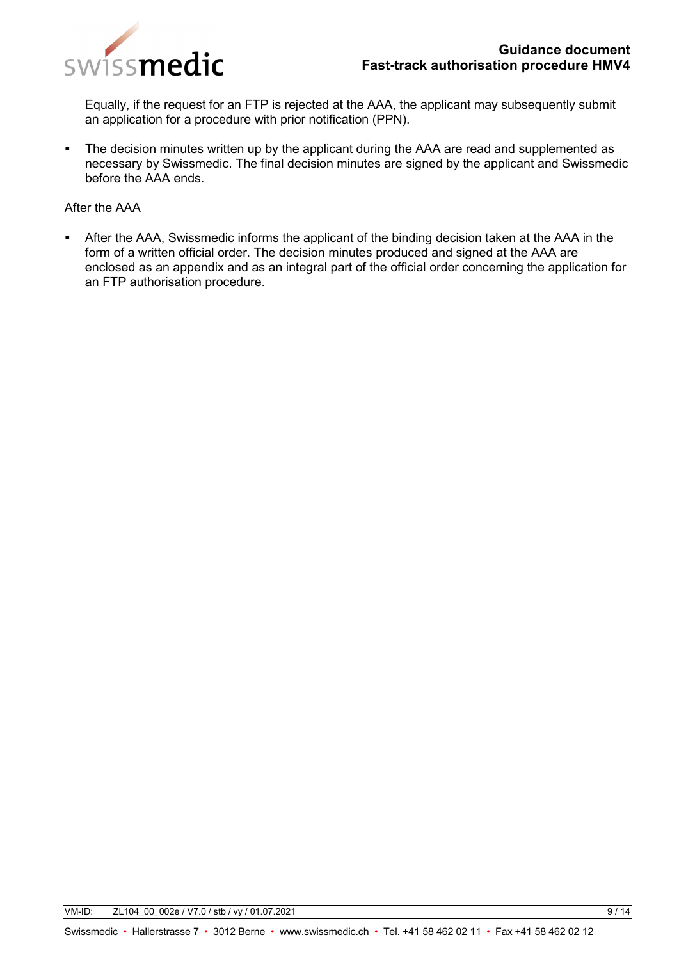

Equally, if the request for an FTP is rejected at the AAA, the applicant may subsequently submit an application for a procedure with prior notification (PPN).

• The decision minutes written up by the applicant during the AAA are read and supplemented as necessary by Swissmedic. The final decision minutes are signed by the applicant and Swissmedic before the AAA ends.

#### After the AAA

 After the AAA, Swissmedic informs the applicant of the binding decision taken at the AAA in the form of a written official order. The decision minutes produced and signed at the AAA are enclosed as an appendix and as an integral part of the official order concerning the application for an FTP authorisation procedure.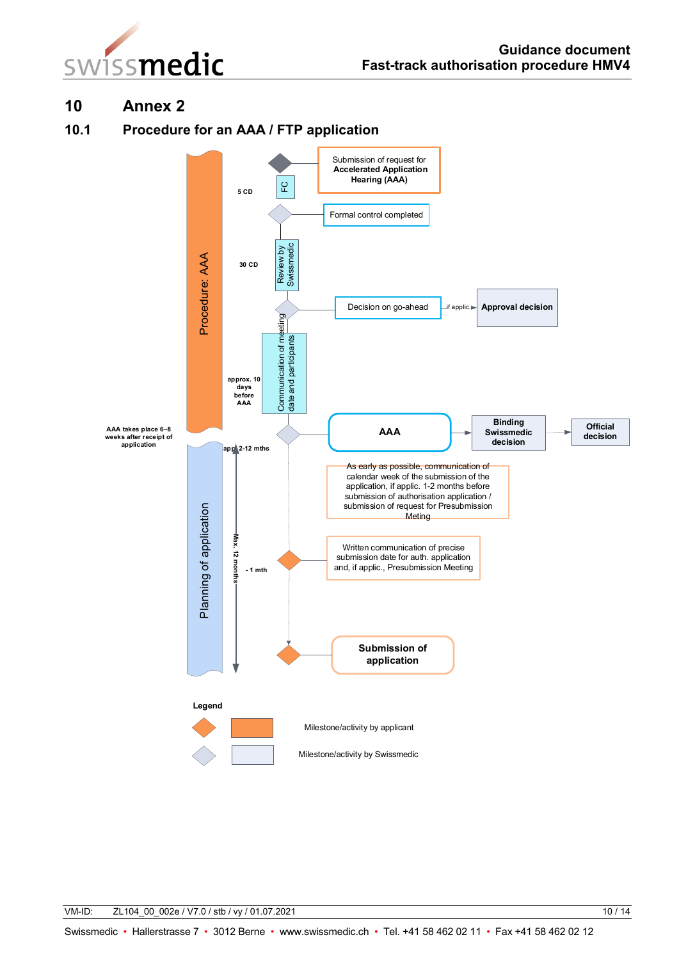



# <span id="page-9-0"></span>**10 Annex 2**

### <span id="page-9-1"></span>**10.1 Procedure for an AAA / FTP application**

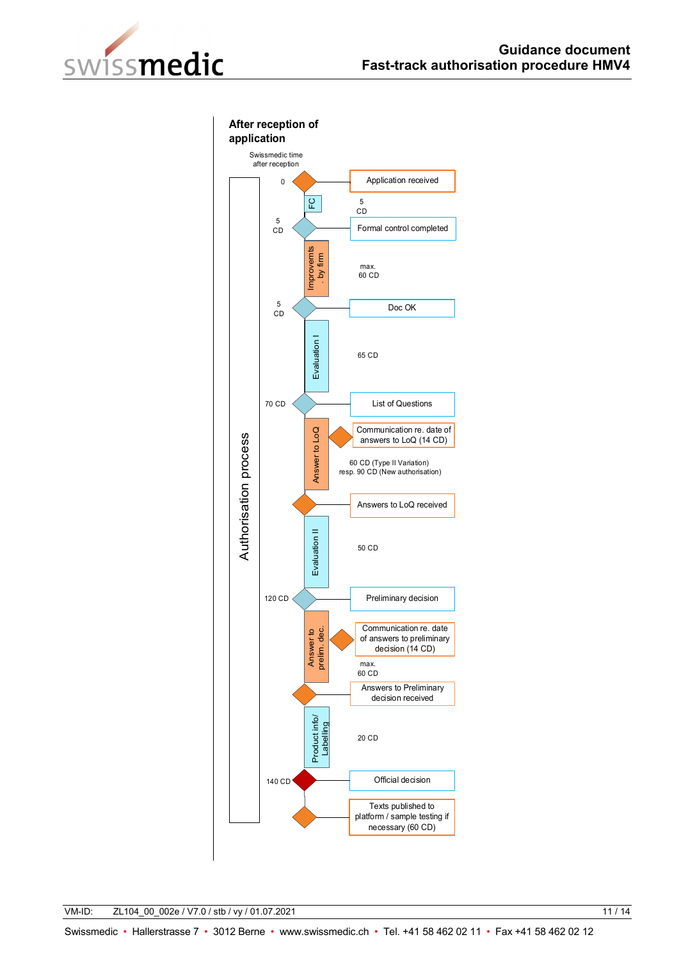

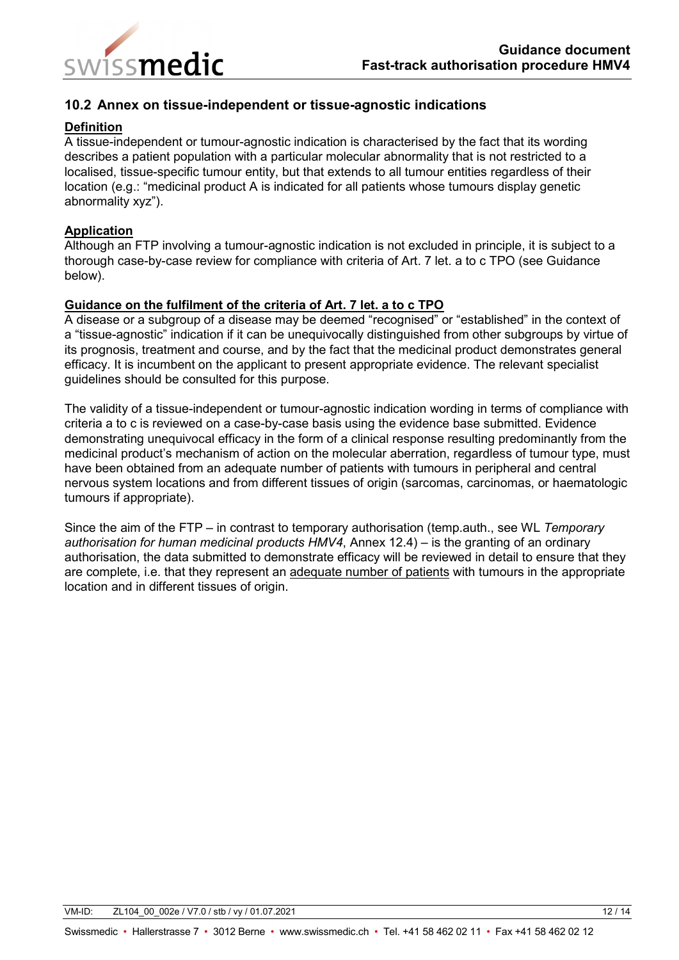

### <span id="page-11-0"></span>**10.2 Annex on tissue-independent or tissue-agnostic indications**

#### **Definition**

A tissue-independent or tumour-agnostic indication is characterised by the fact that its wording describes a patient population with a particular molecular abnormality that is not restricted to a localised, tissue-specific tumour entity, but that extends to all tumour entities regardless of their location (e.g.: "medicinal product A is indicated for all patients whose tumours display genetic abnormality xyz").

#### **Application**

Although an FTP involving a tumour-agnostic indication is not excluded in principle, it is subject to a thorough case-by-case review for compliance with criteria of Art. 7 let. a to c TPO (see Guidance below).

#### **Guidance on the fulfilment of the criteria of Art. 7 let. a to c TPO**

A disease or a subgroup of a disease may be deemed "recognised" or "established" in the context of a "tissue-agnostic" indication if it can be unequivocally distinguished from other subgroups by virtue of its prognosis, treatment and course, and by the fact that the medicinal product demonstrates general efficacy. It is incumbent on the applicant to present appropriate evidence. The relevant specialist guidelines should be consulted for this purpose.

The validity of a tissue-independent or tumour-agnostic indication wording in terms of compliance with criteria a to c is reviewed on a case-by-case basis using the evidence base submitted. Evidence demonstrating unequivocal efficacy in the form of a clinical response resulting predominantly from the medicinal product's mechanism of action on the molecular aberration, regardless of tumour type, must have been obtained from an adequate number of patients with tumours in peripheral and central nervous system locations and from different tissues of origin (sarcomas, carcinomas, or haematologic tumours if appropriate).

Since the aim of the FTP – in contrast to temporary authorisation (temp.auth., see WL *Temporary authorisation for human medicinal products HMV4*, Annex 12.4) – is the granting of an ordinary authorisation, the data submitted to demonstrate efficacy will be reviewed in detail to ensure that they are complete, i.e. that they represent an adequate number of patients with tumours in the appropriate location and in different tissues of origin.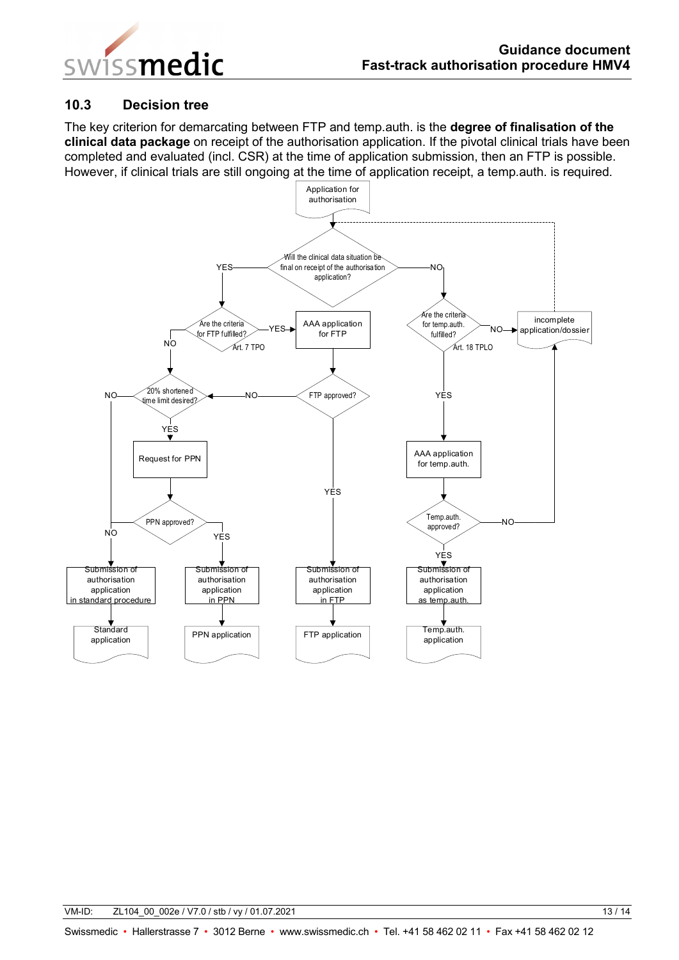

#### <span id="page-12-0"></span>**10.3 Decision tree**

The key criterion for demarcating between FTP and temp.auth. is the **degree of finalisation of the clinical data package** on receipt of the authorisation application. If the pivotal clinical trials have been completed and evaluated (incl. CSR) at the time of application submission, then an FTP is possible. However, if clinical trials are still ongoing at the time of application receipt, a temp.auth. is required.